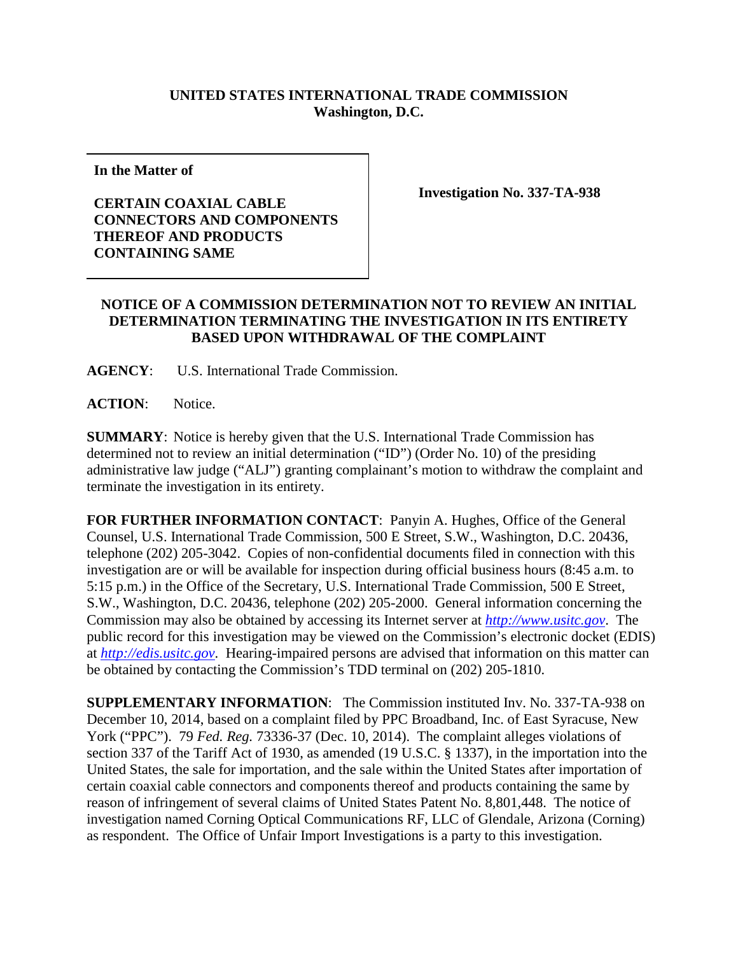## **UNITED STATES INTERNATIONAL TRADE COMMISSION Washington, D.C.**

**In the Matter of**

## **CERTAIN COAXIAL CABLE CONNECTORS AND COMPONENTS THEREOF AND PRODUCTS CONTAINING SAME**

**Investigation No. 337-TA-938**

## **NOTICE OF A COMMISSION DETERMINATION NOT TO REVIEW AN INITIAL DETERMINATION TERMINATING THE INVESTIGATION IN ITS ENTIRETY BASED UPON WITHDRAWAL OF THE COMPLAINT**

**AGENCY**: U.S. International Trade Commission.

**ACTION**: Notice.

**SUMMARY**: Notice is hereby given that the U.S. International Trade Commission has determined not to review an initial determination ("ID") (Order No. 10) of the presiding administrative law judge ("ALJ") granting complainant's motion to withdraw the complaint and terminate the investigation in its entirety.

**FOR FURTHER INFORMATION CONTACT**: Panyin A. Hughes, Office of the General Counsel, U.S. International Trade Commission, 500 E Street, S.W., Washington, D.C. 20436, telephone (202) 205-3042. Copies of non-confidential documents filed in connection with this investigation are or will be available for inspection during official business hours (8:45 a.m. to 5:15 p.m.) in the Office of the Secretary, U.S. International Trade Commission, 500 E Street, S.W., Washington, D.C. 20436, telephone (202) 205-2000. General information concerning the Commission may also be obtained by accessing its Internet server at *[http://www.usitc.gov](http://www.usitc.gov/)*. The public record for this investigation may be viewed on the Commission's electronic docket (EDIS) at *[http://edis.usitc.gov](http://edis.usitc.gov/)*. Hearing-impaired persons are advised that information on this matter can be obtained by contacting the Commission's TDD terminal on (202) 205-1810.

**SUPPLEMENTARY INFORMATION**: The Commission instituted Inv. No. 337-TA-938 on December 10, 2014, based on a complaint filed by PPC Broadband, Inc. of East Syracuse, New York ("PPC"). 79 *Fed. Reg.* 73336-37 (Dec. 10, 2014). The complaint alleges violations of section 337 of the Tariff Act of 1930, as amended (19 U.S.C. § 1337), in the importation into the United States, the sale for importation, and the sale within the United States after importation of certain coaxial cable connectors and components thereof and products containing the same by reason of infringement of several claims of United States Patent No. 8,801,448. The notice of investigation named Corning Optical Communications RF, LLC of Glendale, Arizona (Corning) as respondent. The Office of Unfair Import Investigations is a party to this investigation.